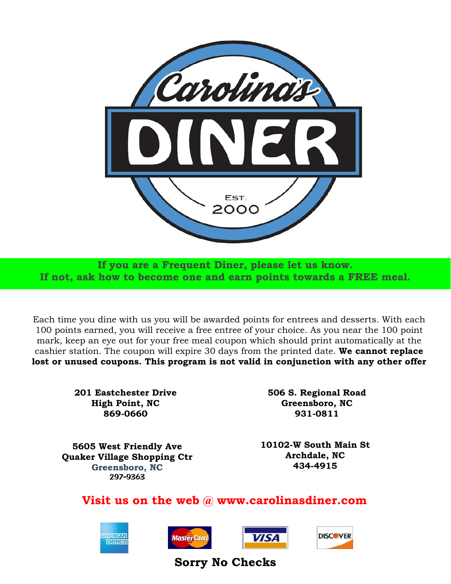

**If you are a Frequent Diner, please let us know. If not, ask how to become one and earn points towards a FREE meal.**

Each time you dine with us you will be awarded points for entrees and desserts. With each 100 points earned, you will receive a free entree of your choice. As you near the 100 point mark, keep an eye out for your free meal coupon which should print automatically at the cashier station. The coupon will expire 30 days from the printed date. **We cannot replace lost or unused coupons. This program is not valid in conjunction with any other offer**

> **201 Eastchester Drive High Point, NC 869-0660**

**506 S. Regional Road Greensboro, NC 931-0811**

**5605 West Friendly Ave Quaker Village Shopping Ctr Greensboro, NC**

**10102-W South Main St Archdale, NC 434-4915**

**Visit us on the web @ www.carolinasdiner.com**









**Sorry No Checks**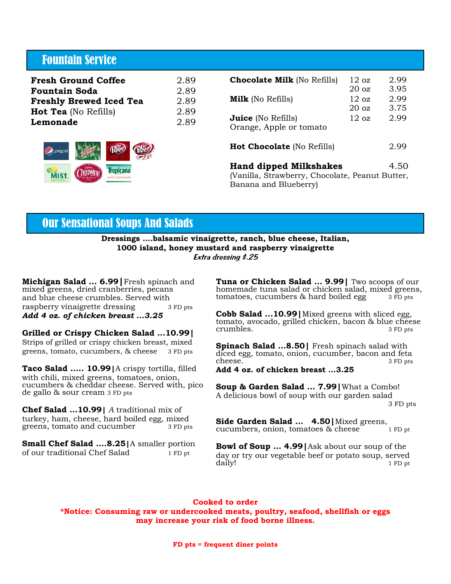# Fountain Service

| <b>Fresh Ground Coffee</b>     | 2.89 |
|--------------------------------|------|
| <b>Fountain Soda</b>           | 2.89 |
| <b>Freshly Brewed Iced Tea</b> | 2.89 |
| <b>Hot Tea</b> (No Refills)    | 2.89 |
| Lemonade                       | 2.89 |
|                                |      |

| pepsi    |                         |
|----------|-------------------------|
| NATURAL. | opícana<br>ink lemonade |

| <b>Chocolate Milk</b> (No Refills)                                                                                | $12 \text{ oz}$<br>$20 \text{ oz}$  | 2.99<br>3.95 |
|-------------------------------------------------------------------------------------------------------------------|-------------------------------------|--------------|
| <b>Milk</b> (No Refills)                                                                                          | $12 \text{ oz}$<br>20 <sub>oz</sub> | 2.99<br>3.75 |
| <b>Juice</b> (No Refills)<br>Orange, Apple or tomato                                                              | $12 \text{ oz}$                     | 2.99         |
| <b>Hot Chocolate</b> (No Refills)                                                                                 |                                     | 2.99         |
| <b>Hand dipped Milkshakes</b><br>4.50<br>(Vanilla, Strawberry, Chocolate, Peanut Butter,<br>Banana and Blueberry) |                                     |              |

## Our Sensational Soups And Salads

**Dressings ….balsamic vinaigrette, ranch, blue cheese, Italian, 1000 island, honey mustard and raspberry vinaigrette** Extra dressing \$.25

**Michigan Salad … 6.99|**Fresh spinach and mixed greens, dried cranberries, pecans and blue cheese crumbles. Served with raspberry vinaigrette dressing 3 FD pts *Add 4 oz. of chicken breast ...3.25*

**Grilled or Crispy Chicken Salad …10.99|** Strips of grilled or crispy chicken breast, mixed greens, tomato, cucumbers, & cheese 3 FD pts

**Taco Salad ….. 10.99|**A crispy tortilla, filled with chili, mixed greens, tomatoes, onion, cucumbers & cheddar cheese. Served with, pico de gallo & sour cream 3 FD pts

**Chef Salad …10.99|** *A* traditional mix of turkey, ham, cheese, hard boiled egg, mixed<br>greens, tomato and cucumber 3 FD pts greens, tomato and cucumber

**Small Chef Salad ….8.25|**A smaller portion of our traditional Chef Salad 1 FD pt

**Tuna or Chicken Salad … 9.99|** Two scoops of our homemade tuna salad or chicken salad, mixed greens, tomatoes, cucumbers  $\&$  hard boiled egg  $\qquad$  3 FD pts

**Cobb Salad ...10.99|**Mixed greens with sliced egg, tomato, avocado, grilled chicken, bacon & blue cheese<br>crumbles. 3 FD pts crumbles.

**Spinach Salad …8.50|** Fresh spinach salad with diced egg, tomato, onion, cucumber, bacon and feta<br>cheese. cheese.

**Add 4 oz. of chicken breast …3.25**

**Soup & Garden Salad … 7.99|**What a Combo! A delicious bowl of soup with our garden salad 3 FD pts

**Side Garden Salad ... 4.50** | Mixed greens, cucumbers, onion, tomatoes & cheese 1 FD pt cucumbers, onion, tomatoes & cheese

**Bowl of Soup … 4.99|**Ask about our soup of the day or try our vegetable beef or potato soup, served daily! daily! 1 FD pt

### **Cooked to order**

**\*Notice: Consuming raw or undercooked meats, poultry, seafood, shellfish or eggs may increase your risk of food borne illness.**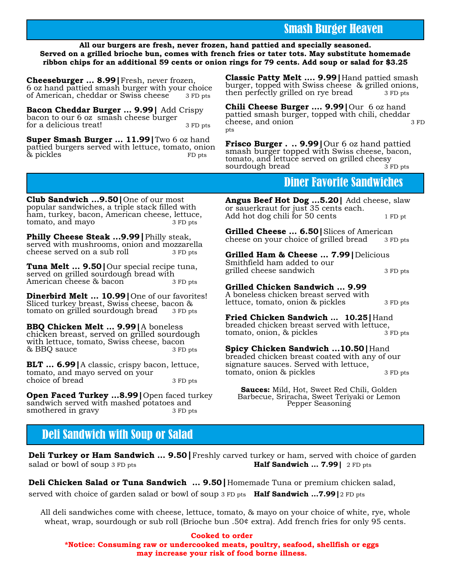# Smash Burger Heaven

### **All our burgers are fresh, never frozen, hand pattied and specially seasoned. Served on a grilled brioche bun, comes with french fries or tater tots. May substitute homemade ribbon chips for an additional 59 cents or onion rings for 79 cents. Add soup or salad for \$3.25**

**Cheeseburger … 8.99|**Fresh, never frozen, 6 oz hand pattied smash burger with your choice<br>of American, cheddar or Swiss cheese  $\frac{3}{2}$  FD pts of American, cheddar or Swiss cheese

**Bacon Cheddar Burger … 9.99|** Add Crispy bacon to our 6 oz smash cheese burger for a delicious treat! 3 FD pts

**Super Smash Burger … 11.99|**Two 6 oz hand pattied burgers served with lettuce, tomato, onion & pickles FD pts

**Classic Patty Melt …. 9.99|**Hand pattied smash burger, topped with Swiss cheese & grilled onions, then perfectly grilled on rye bread 3 FD pts

**Chili Cheese Burger …. 9.99|**Our 6 oz hand pattied smash burger, topped with chili, cheddar cheese, and onion pts

**Frisco Burger . .. 9.99|**Our 6 oz hand pattied smash burger topped with Swiss cheese, bacon, tomato, and lettuce served on grilled cheesy<br>sourdough bread 3 FD pts sourdough bread

### Diner Favorite Sandwiches

**Club Sandwich …9.50|**One of our most popular sandwiches, a triple stack filled with ham, turkey, bacon, American cheese, lettuce, tomato, and mayo 3 FD pts

**Philly Cheese Steak ...9.99|**Philly steak, served with mushrooms, onion and mozzarella cheese served on a sub roll 3 FD pts

**Tuna Melt … 9.50|**Our special recipe tuna, served on grilled sourdough bread with American cheese & bacon 3 FD pts

**Dinerbird Melt … 10.99|**One of our favorites! Sliced turkey breast, Swiss cheese, bacon & tomato on grilled sourdough bread 3 FD pts

**BBQ Chicken Melt … 9.99|**A boneless chicken breast, served on grilled sourdough with lettuce, tomato, Swiss cheese, bacon & BBQ sauce 3 FD pts

**BLT … 6.99|**A classic, crispy bacon, lettuce, tomato, and mayo served on your choice of bread 3 FD pts

**Open Faced Turkey …8.99|**Open faced turkey sandwich served with mashed potatoes and smothered in gravy 3 FD pts

**Angus Beef Hot Dog …5.20|** Add cheese, slaw or sauerkraut for just 35 cents each. Add hot dog chili for 50 cents 1 FD pt

**Grilled Cheese … 6.50|**Slices of American cheese on your choice of grilled bread 3 FD pts

**Grilled Ham & Cheese … 7.99|**Delicious Smithfield ham added to our grilled cheese sandwich 3 FD pts

### **Grilled Chicken Sandwich … 9.99**

A boneless chicken breast served with lettuce, tomato, onion & pickles 3 FD pts

**Fried Chicken Sandwich … 10.25|**Hand breaded chicken breast served with lettuce, tomato, onion, & pickles 3 FD pts

**Spicy Chicken Sandwich ...10.50|**Hand breaded chicken breast coated with any of our signature sauces. Served with lettuce, tomato, onion & pickles 3 FD pts

**Sauces:** Mild, Hot, Sweet Red Chili, Golden Barbecue, Sriracha, Sweet Teriyaki or Lemon Pepper Seasoning

# Deli Sandwich with Soup or Salad

**Deli Turkey or Ham Sandwich … 9.50|**Freshly carved turkey or ham, served with choice of garden salad or bowl of soup 3 FD pts **Half Sandwich … 7.99|** 2 FD pts

**Deli Chicken Salad or Tuna Sandwich … 9.50|**Homemade Tuna or premium chicken salad, served with choice of garden salad or bowl of soup 3 FD pts **Half Sandwich …7.99|**2 FD pts

All deli sandwiches come with cheese, lettuce, tomato, & mayo on your choice of white, rye, whole wheat, wrap, sourdough or sub roll (Brioche bun .50¢ extra). Add french fries for only 95 cents.

**Cooked to order \*Notice: Consuming raw or undercooked meats, poultry, seafood, shellfish or eggs may increase your risk of food borne illness.**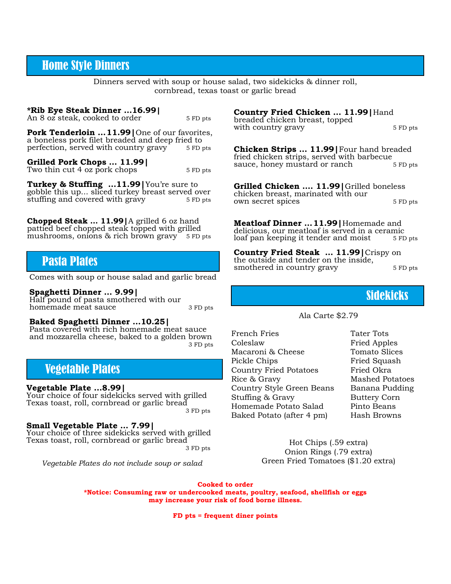### Home Style Dinners

Dinners served with soup or house salad, two sidekicks & dinner roll, cornbread, texas toast or garlic bread

#### **\*Rib Eye Steak Dinner …16.99|**

An 8 oz steak, cooked to order 5 FD pts

**Pork Tenderloin … 11.99|**One of our favorites, a boneless pork filet breaded and deep fried to<br>perfection, served with country gravy 5 FD pts perfection, served with country gravy

**Grilled Pork Chops … 11.99|** Two thin cut  $4$  oz pork chops  $5 FD$  pts

**Turkey & Stuffing ...11.99|**You're sure to gobble this up... sliced turkey breast served over stuffing and covered with gravy 5 FD pts

**Chopped Steak … 11.99|**A grilled 6 oz hand pattied beef chopped steak topped with grilled mushrooms, onions & rich brown gravy 5 FD pts

# Pasta Plates

Comes with soup or house salad and garlic bread

#### **Spaghetti Dinner … 9.99|**

Half pound of pasta smothered with our homemade meat sauce 3 FD pts

#### **Baked Spaghetti Dinner ...10.25|**

Pasta covered with rich homemade meat sauce and mozzarella cheese, baked to a golden brown 3 FD pts

# Vegetable Plates

**Vegetable Plate ...8.99|**

Your choice of four sidekicks served with grilled Texas toast, roll, cornbread or garlic bread

3 FD pts

### **Small Vegetable Plate … 7.99|**

Your choice of three sidekicks served with grilled Texas toast, roll, cornbread or garlic bread 3 FD pts

*Vegetable Plates do not include soup or salad*

**Country Fried Chicken … 11.99|**Hand

breaded chicken breast, topped with country gravy 5 FD pts

**Chicken Strips … 11.99|**Four hand breaded fried chicken strips, served with barbecue sauce, honey mustard or ranch 5 FD pts

**Grilled Chicken …. 11.99|**Grilled boneless chicken breast, marinated with our own secret spices 5 FD pts

**Meatloaf Dinner … 11.99|**Homemade and delicious, our meatloaf is served in a ceramic<br>loaf pan keeping it tender and moist 5 FD <sub>pts</sub> loaf pan keeping it tender and moist

**Country Fried Steak … 11.99|**Crispy on the outside and tender on the inside, smothered in country gravy 5 FD pts

## Sidekicks

#### Ala Carte \$2.79

French Fries Tater Tots Coleslaw Fried Apples Macaroni & Cheese Tomato Slices Pickle Chips Fried Squash Country Fried Potatoes Fried Okra Rice & Gravy Mashed Potatoes Country Style Green Beans Banana Pudding Stuffing & Gravy Buttery Corn Homemade Potato Salad Pinto Beans Baked Potato (after 4 pm) Hash Browns

Hot Chips (.59 extra) Onion Rings (.79 extra) Green Fried Tomatoes  $(\$1.20 \text{ extra})$ 

**Cooked to order**

**\*Notice: Consuming raw or undercooked meats, poultry, seafood, shellfish or eggs may increase your risk of food borne illness.**

**FD pts = frequent diner points**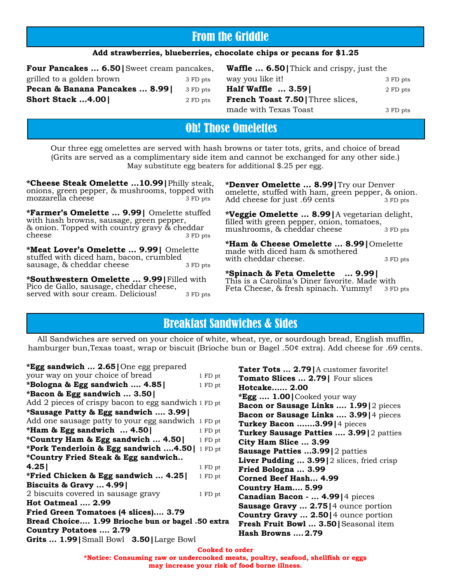# From the Griddle

### **Add strawberries, blueberries, chocolate chips or pecans for \$1.25**

| <b>Four Pancakes  6.50</b> Sweet cream pancakes, |          |
|--------------------------------------------------|----------|
| grilled to a golden brown                        | 3 FD pts |
| Pecan & Banana Pancakes  8.99                    | 3 FD pts |
| <b>Short Stack 4.00</b>                          | 2 FD pts |
|                                                  |          |

| <b>Waffle  6.50</b> Thick and crispy, just the |          |
|------------------------------------------------|----------|
| way you like it!                               | 3 FD pts |
| Half Waffle  3.59                              | 2 FD pts |
| <b>French Toast 7.50</b> Three slices,         |          |
| made with Texas Toast                          | 3 FD pts |

# Oh! Those Omelettes

Our three egg omelettes are served with hash browns or tater tots, grits, and choice of bread (Grits are served as a complimentary side item and cannot be exchanged for any other side.) May substitute egg beaters for additional \$.25 per egg.

**\*Cheese Steak Omelette …10.99|**Philly steak, onions, green pepper,  $\&$  mushrooms, topped with mozzarella cheese  $\frac{3}{2}$  FD pts mozzarella cheese

**\*Farmer's Omelette … 9.99|** Omelette stuffed with hash browns, sausage, green pepper, & onion. Topped with country gravy & cheddar cheese 3 FD pts

**\*Meat Lover's Omelette … 9.99|** Omelette stuffed with diced ham, bacon, crumbled sausage, & cheddar cheese 3 FD pts

**\*Southwestern Omelette … 9.99|**Filled with Pico de Gallo, sausage, cheddar cheese, served with sour cream. Delicious! 3 FD pts

**\*Denver Omelette … 8.99|**Try our Denver omelette, stuffed with ham, green pepper, & onion. Add cheese for just .69 cents 3 FD pts

**\*Veggie Omelette … 8.99|**A vegetarian delight, filled with green pepper, onion, tomatoes, mushrooms, & cheddar cheese 3 FD pts

**\*Ham & Cheese Omelette … 8.99|**Omelette made with diced ham & smothered with cheddar cheese. 3 FD pts

**\*Spinach & Feta Omelette … 9.99|** This is a Carolina's Diner favorite. Made with Feta Cheese, & fresh spinach. Yummy! 3 FD pts

# Breakfast Sandwiches & Sides

All Sandwiches are served on your choice of white, wheat, rye, or sourdough bread, English muffin, hamburger bun,Texas toast, wrap or biscuit (Brioche bun or Bagel .50¢ extra). Add cheese for .69 cents.

**\*Egg sandwich … 2.65|**One egg prepared your way on your choice of bread 1 FD pt **\*Bologna & Egg sandwich …. 4.85|** 1 FD pt **\*Bacon & Egg sandwich … 3.50|** Add 2 pieces of crispy bacon to egg sandwich 1 FD pt **\*Sausage Patty & Egg sandwich …. 3.99|**

| Add one sausage patty to your egg sandwich 1 FD pt |         |
|----------------------------------------------------|---------|
| *Ham & Egg sandwich  4.50                          | 1 FD pt |
| <i>*</i> Country Ham & Egg sandwich  4.50          | 1 FD pt |
| *Pork Tenderloin & Egg sandwich 4.50               | 1 FD pt |
| *Country Fried Steak & Egg sandwich                |         |
| 4.25                                               | 1 FD pt |
| *Fried Chicken & Egg sandwich  4.25                | 1 FD pt |
| Biscuits & Gravy  4.99                             |         |
| 2 biscuits covered in sausage gravy                | 1 FD pt |
| <b>Hot Oatmeal  2.99</b>                           |         |
| Fried Green Tomatoes (4 slices) 3.79               |         |
| Bread Choice 1.99 Brioche bun or bagel .50 extra   |         |
| <b>Country Potatoes  2.79</b>                      |         |
| Grits  1.99   Small Bowl 3.50   Large Bowl         |         |

**Tater Tots … 2.79|**A customer favorite! **Tomato Slices … 2.79|** Four slices **Hotcake..…. 2.00 \*Egg .… 1.00|**Cooked your way **Bacon or Sausage Links …. 1.99|**2 pieces **Bacon or Sausage Links …. 3.99|**4 pieces **Turkey Bacon .……3.99|**4 pieces **Turkey Sausage Patties …. 3.99|**2 patties **City Ham Slice … 3.99 Sausage Patties ...3.99|**2 patties **Liver Pudding … 3.99|**2 slices, fried crisp **Fried Bologna … 3.99 Corned Beef Hash... 4.99 Country Ham.… 5.99 Canadian Bacon - … 4.99|**4 pieces **Sausage Gravy … 2.75|**4 ounce portion **Country Gravy … 2.50|**4 ounce portion **Fresh Fruit Bowl … 3.50|**Seasonal item **Hash Browns …. 2.79**

**Cooked to order**

**\*Notice: Consuming raw or undercooked meats, poultry, seafood, shellfish or eggs may increase your risk of food borne illness.**